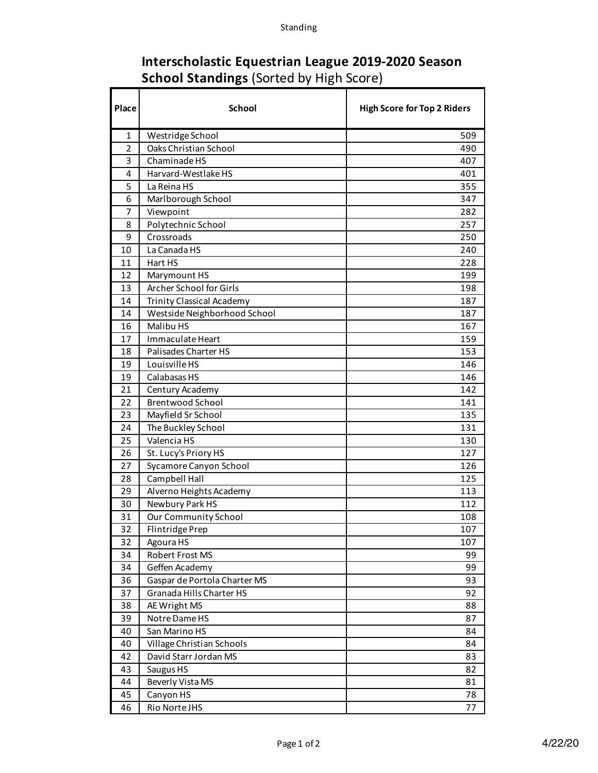## **Interscholastic Equestrian League 2019-2020 Season School Standings** (Sorted by High Score)

h

| Place          | <b>School</b>                    | <b>High Score for Top 2 Riders</b> |
|----------------|----------------------------------|------------------------------------|
| 1              | Westridge School                 | 509                                |
| $\overline{2}$ | Oaks Christian School            | 490                                |
| 3              | Chaminade HS                     | 407                                |
| 4              | Harvard-Westlake HS              | 401                                |
| 5              | La Reina HS                      | 355                                |
| 6              | Marlborough School               | 347                                |
| 7              | Viewpoint                        | 282                                |
| 8              | Polytechnic School               | 257                                |
| 9              | Crossroads                       | 250                                |
| 10             | La Canada HS                     | 240                                |
| 11             | Hart HS                          | 228                                |
| 12             | Marymount HS                     | 199                                |
| 13             | Archer School for Girls          | 198                                |
| 14             | <b>Trinity Classical Academy</b> | 187                                |
| 14             | Westside Neighborhood School     | 187                                |
| 16             | Malibu HS                        | 167                                |
| 17             | Immaculate Heart                 | 159                                |
| 18             | Palisades Charter HS             | 153                                |
| 19             | Louisville HS                    | 146                                |
| 19             | Calabasas HS                     | 146                                |
| 21             | Century Academy                  | 142                                |
| 22             | <b>Brentwood School</b>          | 141                                |
| 23             | Mayfield Sr School               | 135                                |
| 24             | The Buckley School               | 131                                |
| 25             | Valencia HS                      | 130                                |
| 26             | St. Lucy's Priory HS             | 127                                |
| 27             | Sycamore Canyon School           | 126                                |
| 28             | Campbell Hall                    | 125                                |
| 29             | Alverno Heights Academy          | 113                                |
| 30             | Newbury Park HS                  | 112                                |
| 31             | <b>Our Community School</b>      | 108                                |
| 32             | Flintridge Prep                  | 107                                |
| 32             | Agoura HS                        | 107                                |
| 34             | Robert Frost MS                  | 99                                 |
| 34             | Geffen Academy                   | 99                                 |
| 36             | Gaspar de Portola Charter MS     | 93                                 |
| 37             | Granada Hills Charter HS         | 92                                 |
| 38             | AE Wright MS                     | 88                                 |
| 39             | Notre Dame HS                    | 87                                 |
| 40             | San Marino HS                    | 84                                 |
| 40             | Village Christian Schools        | 84                                 |
| 42             | David Starr Jordan MS            | 83                                 |
| 43             | Saugus HS                        | 82                                 |
| 44             | Beverly Vista MS                 | 81                                 |
| 45             | Canyon HS                        | 78                                 |
| 46             | Rio Norte JHS                    | 77                                 |